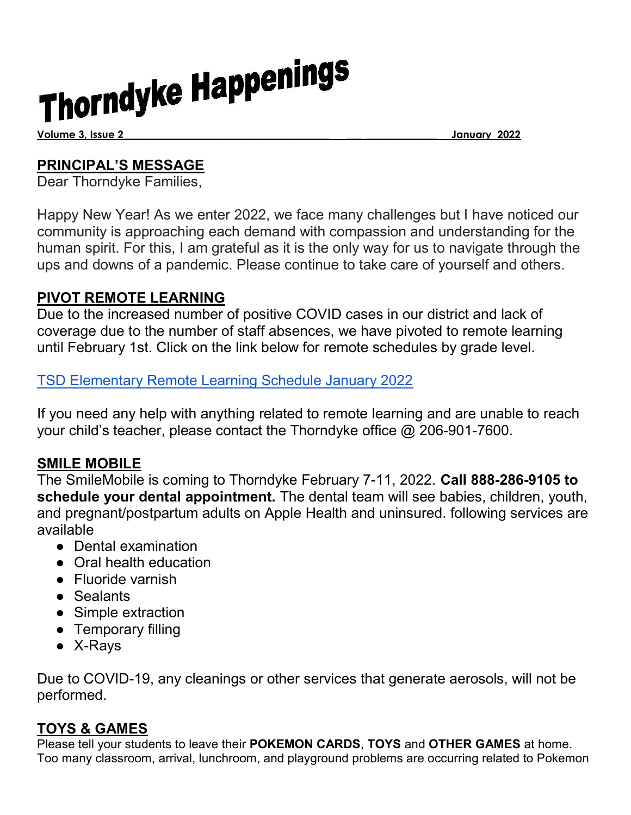# Thorndyke Happenings

Volume 3, Issue 2\_\_\_\_\_\_\_\_\_\_\_\_\_\_\_\_\_\_\_\_\_\_\_\_\_\_\_\_\_\_\_\_\_\_\_\_\_\_\_\_ \_\_\_ \_\_\_\_\_\_\_\_\_\_\_\_\_\_ January 2022

#### PRINCIPAL'S MESSAGE

Dear Thorndyke Families,

Happy New Year! As we enter 2022, we face many challenges but I have noticed our community is approaching each demand with compassion and understanding for the human spirit. For this, I am grateful as it is the only way for us to navigate through the ups and downs of a pandemic. Please continue to take care of yourself and others.

#### PIVOT REMOTE LEARNING

Due to the increased number of positive COVID cases in our district and lack of coverage due to the number of staff absences, we have pivoted to remote learning until February 1st. Click on the link below for remote schedules by grade level.

TSD Elementary Remote Learning Schedule January 2022

If you need any help with anything related to remote learning and are unable to reach your child's teacher, please contact the Thorndyke office @ 206-901-7600.

#### SMILE MOBILE

The SmileMobile is coming to Thorndyke February 7-11, 2022. Call 888-286-9105 to schedule your dental appointment. The dental team will see babies, children, youth, and pregnant/postpartum adults on Apple Health and uninsured. following services are available

- Dental examination
- Oral health education
- Fluoride varnish
- Sealants
- Simple extraction
- Temporary filling
- X-Rays

Due to COVID-19, any cleanings or other services that generate aerosols, will not be performed.

#### TOYS & GAMES

Please tell your students to leave their POKEMON CARDS, TOYS and OTHER GAMES at home. Too many classroom, arrival, lunchroom, and playground problems are occurring related to Pokemon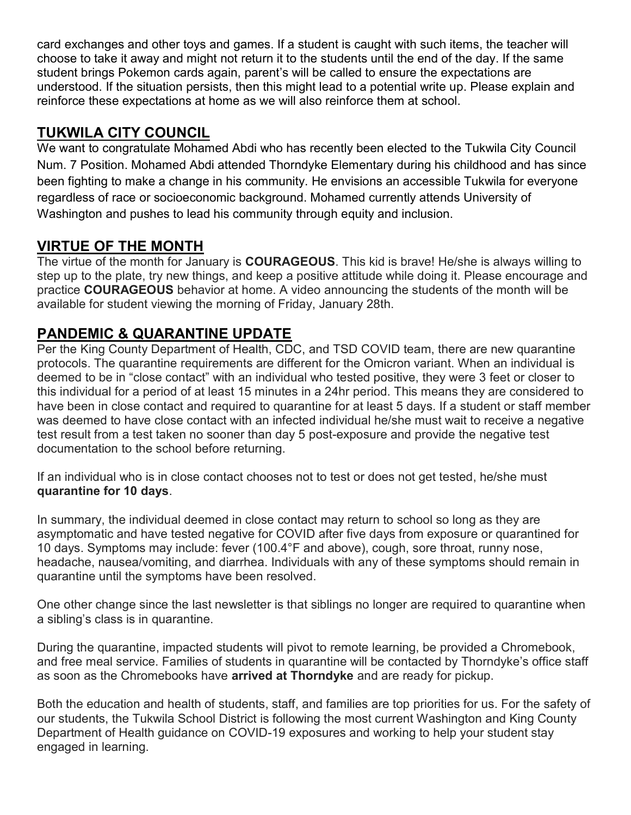card exchanges and other toys and games. If a student is caught with such items, the teacher will choose to take it away and might not return it to the students until the end of the day. If the same student brings Pokemon cards again, parent's will be called to ensure the expectations are understood. If the situation persists, then this might lead to a potential write up. Please explain and reinforce these expectations at home as we will also reinforce them at school.

#### TUKWILA CITY COUNCIL

We want to congratulate Mohamed Abdi who has recently been elected to the Tukwila City Council Num. 7 Position. Mohamed Abdi attended Thorndyke Elementary during his childhood and has since been fighting to make a change in his community. He envisions an accessible Tukwila for everyone regardless of race or socioeconomic background. Mohamed currently attends University of Washington and pushes to lead his community through equity and inclusion.

# VIRTUE OF THE MONTH

The virtue of the month for January is **COURAGEOUS**. This kid is brave! He/she is always willing to step up to the plate, try new things, and keep a positive attitude while doing it. Please encourage and practice COURAGEOUS behavior at home. A video announcing the students of the month will be available for student viewing the morning of Friday, January 28th.

### PANDEMIC & QUARANTINE UPDATE

Per the King County Department of Health, CDC, and TSD COVID team, there are new quarantine protocols. The quarantine requirements are different for the Omicron variant. When an individual is deemed to be in "close contact" with an individual who tested positive, they were 3 feet or closer to this individual for a period of at least 15 minutes in a 24hr period. This means they are considered to have been in close contact and required to quarantine for at least 5 days. If a student or staff member was deemed to have close contact with an infected individual he/she must wait to receive a negative test result from a test taken no sooner than day 5 post-exposure and provide the negative test documentation to the school before returning.

If an individual who is in close contact chooses not to test or does not get tested, he/she must quarantine for 10 days.

In summary, the individual deemed in close contact may return to school so long as they are asymptomatic and have tested negative for COVID after five days from exposure or quarantined for 10 days. Symptoms may include: fever (100.4°F and above), cough, sore throat, runny nose, headache, nausea/vomiting, and diarrhea. Individuals with any of these symptoms should remain in quarantine until the symptoms have been resolved.

One other change since the last newsletter is that siblings no longer are required to quarantine when a sibling's class is in quarantine.

During the quarantine, impacted students will pivot to remote learning, be provided a Chromebook, and free meal service. Families of students in quarantine will be contacted by Thorndyke's office staff as soon as the Chromebooks have **arrived at Thorndyke** and are ready for pickup.

Both the education and health of students, staff, and families are top priorities for us. For the safety of our students, the Tukwila School District is following the most current Washington and King County Department of Health guidance on COVID-19 exposures and working to help your student stay engaged in learning.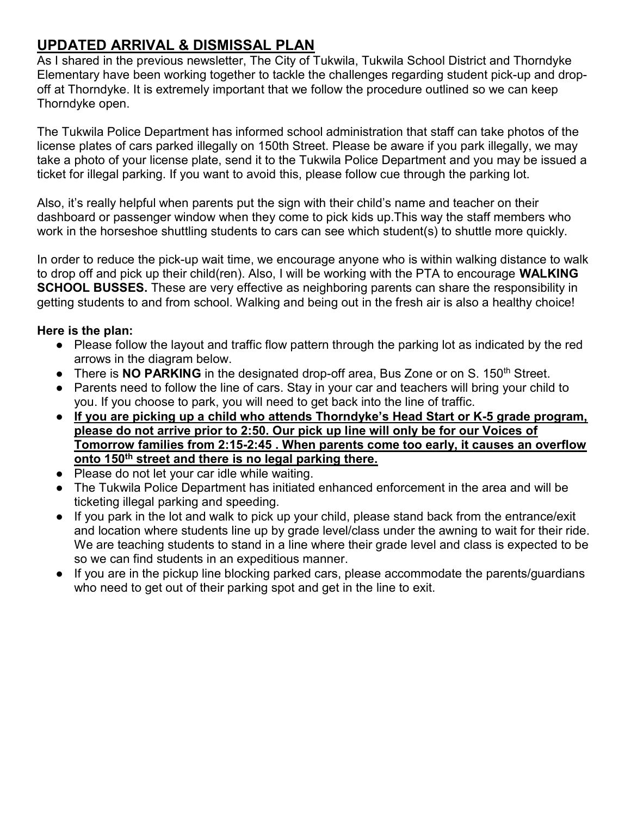## UPDATED ARRIVAL & DISMISSAL PLAN

As I shared in the previous newsletter, The City of Tukwila, Tukwila School District and Thorndyke Elementary have been working together to tackle the challenges regarding student pick-up and dropoff at Thorndyke. It is extremely important that we follow the procedure outlined so we can keep Thorndyke open.

The Tukwila Police Department has informed school administration that staff can take photos of the license plates of cars parked illegally on 150th Street. Please be aware if you park illegally, we may take a photo of your license plate, send it to the Tukwila Police Department and you may be issued a ticket for illegal parking. If you want to avoid this, please follow cue through the parking lot.

Also, it's really helpful when parents put the sign with their child's name and teacher on their dashboard or passenger window when they come to pick kids up.This way the staff members who work in the horseshoe shuttling students to cars can see which student(s) to shuttle more quickly.

In order to reduce the pick-up wait time, we encourage anyone who is within walking distance to walk to drop off and pick up their child(ren). Also, I will be working with the PTA to encourage WALKING **SCHOOL BUSSES.** These are very effective as neighboring parents can share the responsibility in getting students to and from school. Walking and being out in the fresh air is also a healthy choice!

#### Here is the plan:

- Please follow the layout and traffic flow pattern through the parking lot as indicated by the red arrows in the diagram below.
- There is NO PARKING in the designated drop-off area, Bus Zone or on S. 150<sup>th</sup> Street.
- Parents need to follow the line of cars. Stay in your car and teachers will bring your child to you. If you choose to park, you will need to get back into the line of traffic.
- If you are picking up a child who attends Thorndyke's Head Start or K-5 grade program, please do not arrive prior to 2:50. Our pick up line will only be for our Voices of Tomorrow families from 2:15-2:45 . When parents come too early, it causes an overflow onto 150<sup>th</sup> street and there is no legal parking there.
- Please do not let your car idle while waiting.
- The Tukwila Police Department has initiated enhanced enforcement in the area and will be ticketing illegal parking and speeding.
- If you park in the lot and walk to pick up your child, please stand back from the entrance/exit and location where students line up by grade level/class under the awning to wait for their ride. We are teaching students to stand in a line where their grade level and class is expected to be so we can find students in an expeditious manner.
- If you are in the pickup line blocking parked cars, please accommodate the parents/guardians who need to get out of their parking spot and get in the line to exit.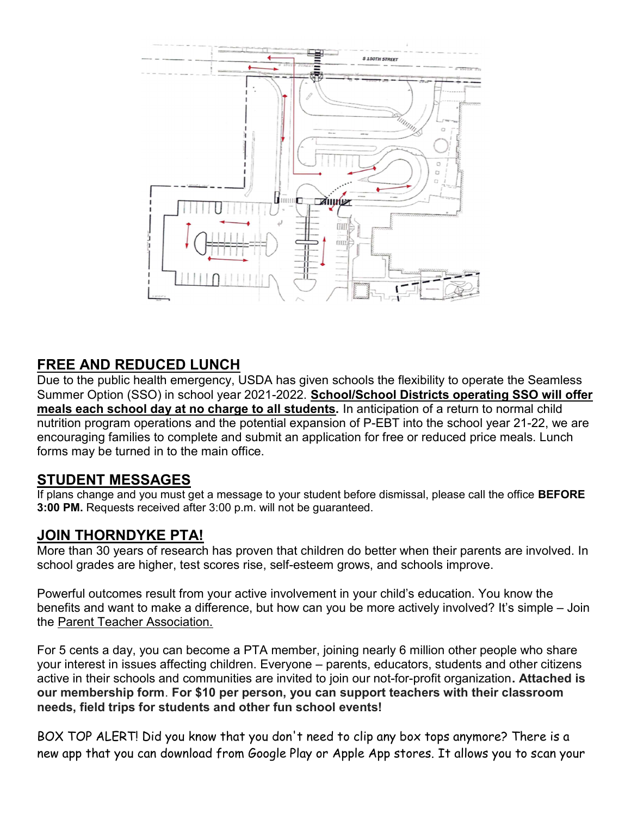

#### FREE AND REDUCED LUNCH

Due to the public health emergency, USDA has given schools the flexibility to operate the Seamless Summer Option (SSO) in school year 2021-2022. School/School Districts operating SSO will offer meals each school day at no charge to all students. In anticipation of a return to normal child nutrition program operations and the potential expansion of P-EBT into the school year 21-22, we are encouraging families to complete and submit an application for free or reduced price meals. Lunch forms may be turned in to the main office.

#### STUDENT MESSAGES

If plans change and you must get a message to your student before dismissal, please call the office **BEFORE** 3:00 PM. Requests received after 3:00 p.m. will not be guaranteed.

#### JOIN THORNDYKE PTA!

More than 30 years of research has proven that children do better when their parents are involved. In school grades are higher, test scores rise, self-esteem grows, and schools improve.

Powerful outcomes result from your active involvement in your child's education. You know the benefits and want to make a difference, but how can you be more actively involved? It's simple – Join the Parent Teacher Association.

For 5 cents a day, you can become a PTA member, joining nearly 6 million other people who share your interest in issues affecting children. Everyone – parents, educators, students and other citizens active in their schools and communities are invited to join our not-for-profit organization. Attached is our membership form. For \$10 per person, you can support teachers with their classroom needs, field trips for students and other fun school events!

BOX TOP ALERT! Did you know that you don't need to clip any box tops anymore? There is a new app that you can download from Google Play or Apple App stores. It allows you to scan your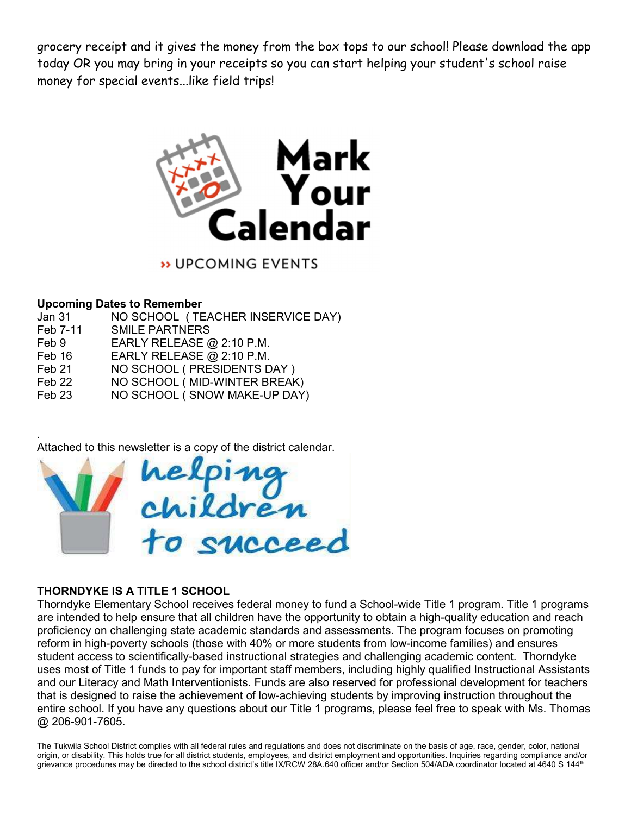grocery receipt and it gives the money from the box tops to our school! Please download the app today OR you may bring in your receipts so you can start helping your student's school raise money for special events...like field trips!



» UPCOMING EVENTS

#### Upcoming Dates to Remember

| Jan 31   | NO SCHOOL (TEACHER INSERVICE DAY) |
|----------|-----------------------------------|
| Feb 7-11 | <b>SMILE PARTNERS</b>             |
| Feb 9    | EARLY RELEASE $@2:10$ P.M.        |
| Feb 16   | EARLY RELEASE @ 2:10 P.M.         |
| Feb 21   | NO SCHOOL (PRESIDENTS DAY)        |
| Feb 22   | NO SCHOOL (MID-WINTER BREAK)      |
| Feb 23   | NO SCHOOL (SNOW MAKE-UP DAY)      |
|          |                                   |

. Attached to this newsletter is a copy of the district calendar.



#### THORNDYKE IS A TITLE 1 SCHOOL

Thorndyke Elementary School receives federal money to fund a School-wide Title 1 program. Title 1 programs are intended to help ensure that all children have the opportunity to obtain a high-quality education and reach proficiency on challenging state academic standards and assessments. The program focuses on promoting reform in high-poverty schools (those with 40% or more students from low-income families) and ensures student access to scientifically-based instructional strategies and challenging academic content. Thorndyke uses most of Title 1 funds to pay for important staff members, including highly qualified Instructional Assistants and our Literacy and Math Interventionists. Funds are also reserved for professional development for teachers that is designed to raise the achievement of low-achieving students by improving instruction throughout the entire school. If you have any questions about our Title 1 programs, please feel free to speak with Ms. Thomas @ 206-901-7605.

The Tukwila School District complies with all federal rules and regulations and does not discriminate on the basis of age, race, gender, color, national origin, or disability. This holds true for all district students, employees, and district employment and opportunities. Inquiries regarding compliance and/or grievance procedures may be directed to the school district's title IX/RCW 28A.640 officer and/or Section 504/ADA coordinator located at 4640 S 144<sup>th</sup>